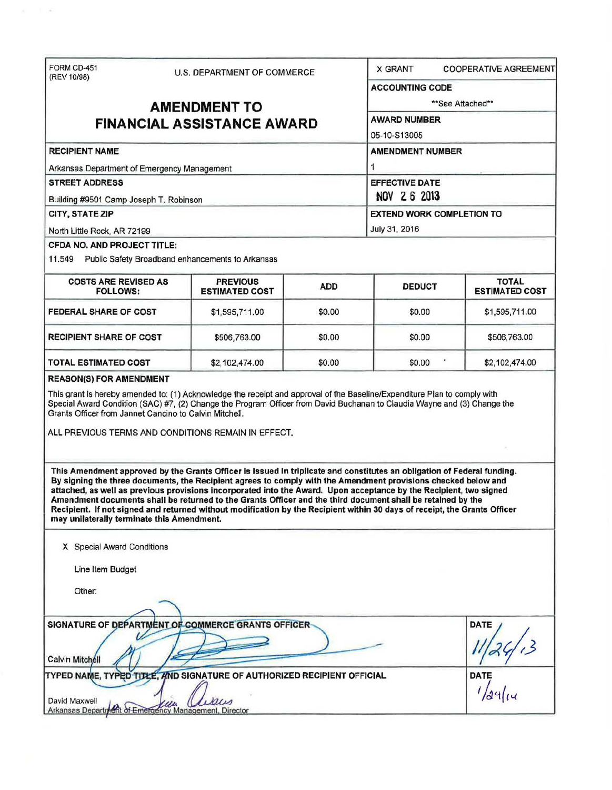| FORM CD-451                                                                                                                                                                                                                                                                                                                                                                                                                                                                                                                                                                                                                                                        |                                                                   |                                  | <b>X GRANT</b>               | <b>COOPERATIVE AGREEMENT</b>          |  |                       |
|--------------------------------------------------------------------------------------------------------------------------------------------------------------------------------------------------------------------------------------------------------------------------------------------------------------------------------------------------------------------------------------------------------------------------------------------------------------------------------------------------------------------------------------------------------------------------------------------------------------------------------------------------------------------|-------------------------------------------------------------------|----------------------------------|------------------------------|---------------------------------------|--|-----------------------|
| (REV 10/98)                                                                                                                                                                                                                                                                                                                                                                                                                                                                                                                                                                                                                                                        | U.S. DEPARTMENT OF COMMERCE                                       |                                  | <b>ACCOUNTING CODE</b>       |                                       |  |                       |
|                                                                                                                                                                                                                                                                                                                                                                                                                                                                                                                                                                                                                                                                    |                                                                   |                                  | **See Attached**             |                                       |  |                       |
|                                                                                                                                                                                                                                                                                                                                                                                                                                                                                                                                                                                                                                                                    | <b>AMENDMENT TO</b>                                               |                                  |                              |                                       |  |                       |
|                                                                                                                                                                                                                                                                                                                                                                                                                                                                                                                                                                                                                                                                    | AWARD NUMBER<br><b>FINANCIAL ASSISTANCE AWARD</b><br>05-10-S13005 |                                  |                              |                                       |  |                       |
|                                                                                                                                                                                                                                                                                                                                                                                                                                                                                                                                                                                                                                                                    |                                                                   |                                  |                              |                                       |  |                       |
| <b>RECIPIENT NAME</b><br>Arkansas Department of Emergency Management                                                                                                                                                                                                                                                                                                                                                                                                                                                                                                                                                                                               |                                                                   |                                  | <b>AMENDMENT NUMBER</b><br>1 |                                       |  |                       |
|                                                                                                                                                                                                                                                                                                                                                                                                                                                                                                                                                                                                                                                                    |                                                                   |                                  |                              |                                       |  | <b>STREET ADDRESS</b> |
| Building #9501 Camp Joseph T. Robinson                                                                                                                                                                                                                                                                                                                                                                                                                                                                                                                                                                                                                             |                                                                   |                                  |                              |                                       |  |                       |
| CITY, STATE ZIP                                                                                                                                                                                                                                                                                                                                                                                                                                                                                                                                                                                                                                                    |                                                                   | <b>EXTEND WORK COMPLETION TO</b> |                              |                                       |  |                       |
| North Little Rock, AR 72199                                                                                                                                                                                                                                                                                                                                                                                                                                                                                                                                                                                                                                        |                                                                   |                                  | July 31, 2016                |                                       |  |                       |
| <b>CFDA NO. AND PROJECT TITLE:</b><br>11.549 Public Safety Broadband enhancements to Arkansas                                                                                                                                                                                                                                                                                                                                                                                                                                                                                                                                                                      |                                                                   |                                  |                              |                                       |  |                       |
| <b>COSTS ARE REVISED AS</b><br><b>FOLLOWS:</b>                                                                                                                                                                                                                                                                                                                                                                                                                                                                                                                                                                                                                     | <b>PREVIOUS</b><br><b>ESTIMATED COST</b>                          | <b>ADD</b>                       | <b>DEDUCT</b>                | <b>TOTAL</b><br><b>ESTIMATED COST</b> |  |                       |
| <b>FEDERAL SHARE OF COST</b>                                                                                                                                                                                                                                                                                                                                                                                                                                                                                                                                                                                                                                       | \$1,595,711.00                                                    | \$0.00                           | \$0.00                       | \$1,595,711.00                        |  |                       |
| <b>RECIPIENT SHARE OF COST</b>                                                                                                                                                                                                                                                                                                                                                                                                                                                                                                                                                                                                                                     | \$506,763.00                                                      | \$0.00                           | \$0.00                       | \$506,763.00                          |  |                       |
| <b>TOTAL ESTIMATED COST</b>                                                                                                                                                                                                                                                                                                                                                                                                                                                                                                                                                                                                                                        | \$2,102,474.00                                                    | \$0.00                           | \$0.00                       | \$2,102,474.00                        |  |                       |
| ALL PREVIOUS TERMS AND CONDITIONS REMAIN IN EFFECT.<br>This Amendment approved by the Grants Officer is issued in triplicate and constitutes an obligation of Federal funding.<br>By signing the three documents, the Recipient agrees to comply with the Amendment provisions checked below and<br>attached, as well as previous provisions incorporated into the Award. Upon acceptance by the Recipient, two signed<br>Amendment documents shall be returned to the Grants Officer and the third document shall be retained by the<br>Recipient. If not signed and returned without modification by the Recipient within 30 days of receipt, the Grants Officer |                                                                   |                                  |                              |                                       |  |                       |
| may unilaterally terminate this Amendment.<br>X Special Award Conditions                                                                                                                                                                                                                                                                                                                                                                                                                                                                                                                                                                                           |                                                                   |                                  |                              |                                       |  |                       |
|                                                                                                                                                                                                                                                                                                                                                                                                                                                                                                                                                                                                                                                                    |                                                                   |                                  |                              |                                       |  |                       |
| Line Item Budget                                                                                                                                                                                                                                                                                                                                                                                                                                                                                                                                                                                                                                                   |                                                                   |                                  |                              |                                       |  |                       |
| Other:                                                                                                                                                                                                                                                                                                                                                                                                                                                                                                                                                                                                                                                             |                                                                   |                                  |                              |                                       |  |                       |
| SIGNATURE OF DEPARTMENT OF COMMERCE GRANTS OFFICER-                                                                                                                                                                                                                                                                                                                                                                                                                                                                                                                                                                                                                |                                                                   |                                  |                              | DATE                                  |  |                       |
| Calvin Mitchell                                                                                                                                                                                                                                                                                                                                                                                                                                                                                                                                                                                                                                                    |                                                                   |                                  |                              |                                       |  |                       |
| TYPED NAME, TYPED TITLE, AND SIGNATURE OF AUTHORIZED RECIPIENT OFFICIAL                                                                                                                                                                                                                                                                                                                                                                                                                                                                                                                                                                                            |                                                                   |                                  |                              | <b>DATE</b>                           |  |                       |
| David Maxwell<br>Arkansas Department of Emergency Management, Director                                                                                                                                                                                                                                                                                                                                                                                                                                                                                                                                                                                             | pus                                                               |                                  |                              |                                       |  |                       |

 $\mathcal{L} = 1$  ,  $\mathcal{L}$